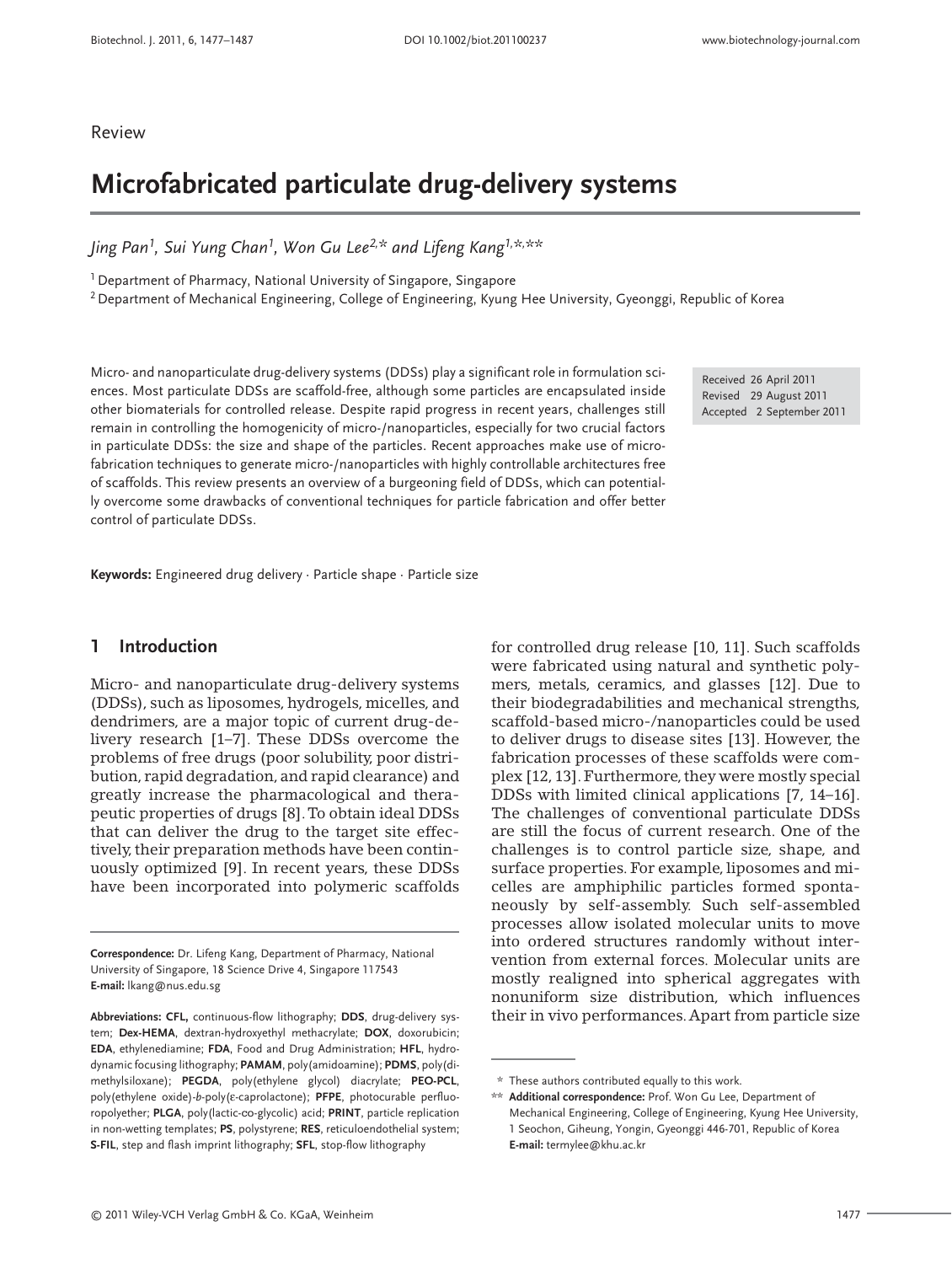Review

# **Microfabricated particulate drug-delivery systems**

*Jing Pan1, Sui Yung Chan1, Won Gu Lee2,\* and Lifeng Kang1,\*, \*\**

<sup>1</sup> Department of Pharmacy, National University of Singapore, Singapore

<sup>2</sup> Department of Mechanical Engineering, College of Engineering, Kyung Hee University, Gyeonggi, Republic of Korea

Micro- and nanoparticulate drug-delivery systems (DDSs) play a significant role in formulation sciences. Most particulate DDSs are scaffold-free, although some particles are encapsulated inside other biomaterials for controlled release. Despite rapid progress in recent years, challenges still remain in controlling the homogenicity of micro-/nanoparticles, especially for two crucial factors in particulate DDSs: the size and shape of the particles. Recent approaches make use of microfabrication techniques to generate micro-/nanoparticles with highly controllable architectures free of scaffolds. This review presents an overview of a burgeoning field of DDSs, which can potentially overcome some drawbacks of conventional techniques for particle fabrication and offer better control of particulate DDSs.

Received 26 April 2011 Revised 29 August 2011 Accepted 2 September 2011

**Keywords:** Engineered drug delivery · Particle shape · Particle size

## **1 Introduction**

Micro- and nanoparticulate drug-delivery systems (DDSs), such as liposomes, hydrogels, micelles, and dendrimers, are a major topic of current drug-delivery research [1–7]. These DDSs overcome the problems of free drugs (poor solubility, poor distribution, rapid degradation, and rapid clearance) and greatly increase the pharmacological and therapeutic properties of drugs [8].To obtain ideal DDSs that can deliver the drug to the target site effectively, their preparation methods have been continuously optimized [9]. In recent years, these DDSs have been incorporated into polymeric scaffolds

**Correspondence:** Dr. Lifeng Kang, Department of Pharmacy, National University of Singapore, 18 Science Drive 4, Singapore 117543 **E-mail:** lkang@nus.edu.sg

for controlled drug release [10, 11]. Such scaffolds were fabricated using natural and synthetic polymers, metals, ceramics, and glasses [12]. Due to their biodegradabilities and mechanical strengths, scaffold-based micro-/nanoparticles could be used to deliver drugs to disease sites [13]. However, the fabrication processes of these scaffolds were complex [12, 13]. Furthermore, they were mostly special DDSs with limited clinical applications [7, 14–16]. The challenges of conventional particulate DDSs are still the focus of current research. One of the challenges is to control particle size, shape, and surface properties. For example, liposomes and micelles are amphiphilic particles formed spontaneously by self-assembly. Such self-assembled processes allow isolated molecular units to move into ordered structures randomly without intervention from external forces. Molecular units are mostly realigned into spherical aggregates with nonuniform size distribution, which influences their in vivo performances.Apart from particle size

**Abbreviations: CFL,** continuous-flow lithography; **DDS**, drug-delivery system; **Dex-HEMA**, dextran-hydroxyethyl methacrylate; **DOX**, doxorubicin; **EDA**, ethylenediamine; **FDA**, Food and Drug Administration; **HFL**, hydrodynamic focusing lithography; **PAMAM**, poly(amidoamine); **PDMS**, poly(dimethylsiloxane); **PEGDA**, poly(ethylene glycol) diacrylate; **PEO-PCL**, poly(ethylene oxide)-*b*-poly(ε-caprolactone); **PFPE**, photocurable perfluoropolyether; **PLGA**, poly(lactic-co-glycolic) acid; **PRINT**, particle replication in non-wetting templates; **PS**, polystyrene; **RES**, reticuloendothelial system; **S-FIL**, step and flash imprint lithography; **SFL**, stop-flow lithography

<sup>\*\*</sup> These authors contributed equally to this work.

<sup>\*\*</sup> **Additional correspondence:** Prof. Won Gu Lee, Department of Mechanical Engineering, College of Engineering, Kyung Hee University, 1 Seochon, Giheung, Yongin, Gyeonggi 446-701, Republic of Korea **E-mail:** termylee@khu.ac.kr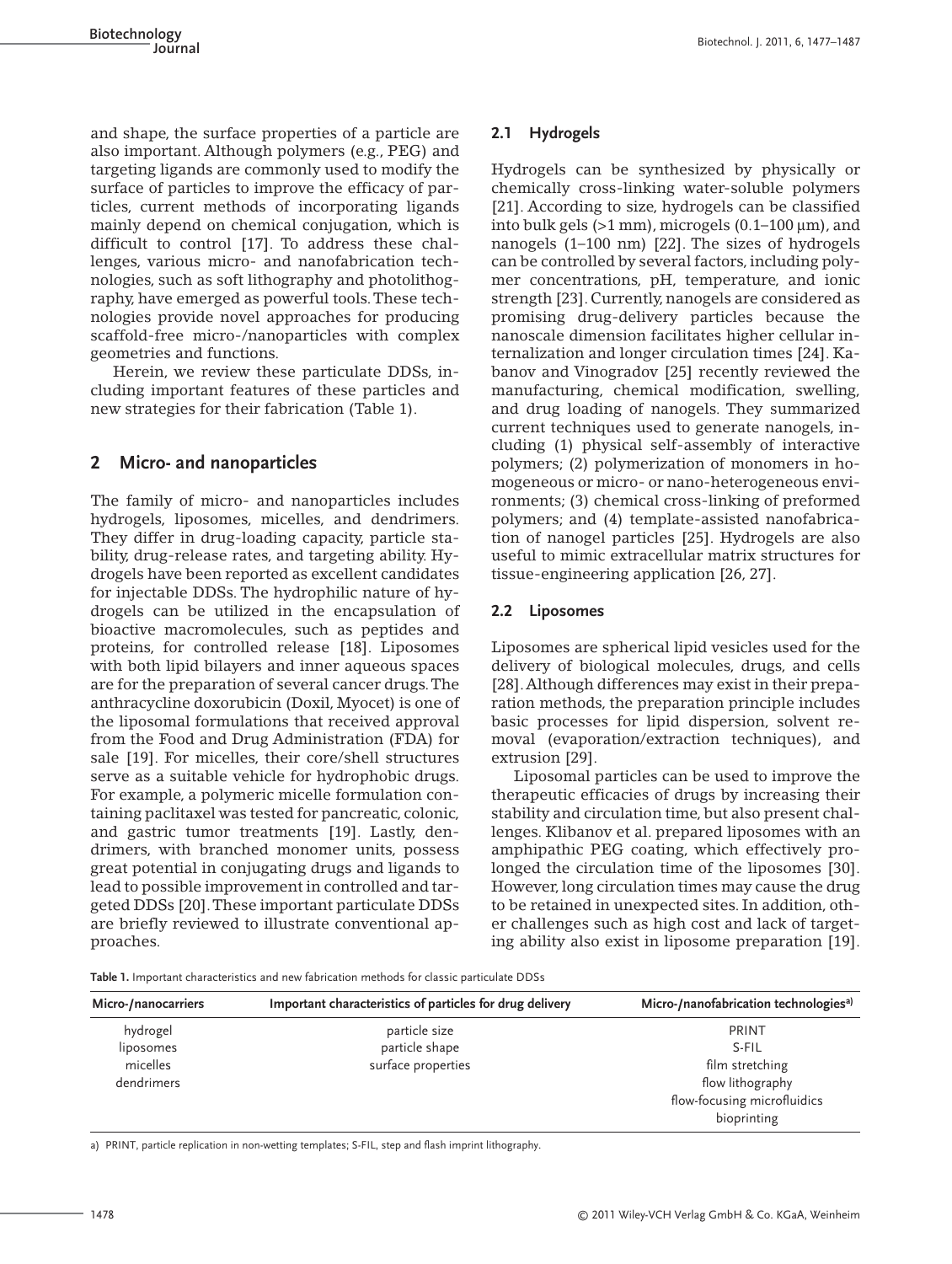and shape, the surface properties of a particle are also important. Although polymers (e.g., PEG) and targeting ligands are commonly used to modify the surface of particles to improve the efficacy of particles, current methods of incorporating ligands mainly depend on chemical conjugation, which is difficult to control [17]. To address these challenges, various micro- and nanofabrication technologies, such as soft lithography and photolithography, have emerged as powerful tools.These technologies provide novel approaches for producing scaffold-free micro-/nanoparticles with complex geometries and functions.

Herein, we review these particulate DDSs, including important features of these particles and new strategies for their fabrication (Table 1).

# **2 Micro- and nanoparticles**

The family of micro- and nanoparticles includes hydrogels, liposomes, micelles, and dendrimers. They differ in drug-loading capacity, particle stability, drug-release rates, and targeting ability. Hydrogels have been reported as excellent candidates for injectable DDSs. The hydrophilic nature of hydrogels can be utilized in the encapsulation of bioactive macromolecules, such as peptides and proteins, for controlled release [18]. Liposomes with both lipid bilayers and inner aqueous spaces are for the preparation of several cancer drugs.The anthracycline doxorubicin (Doxil, Myocet) is one of the liposomal formulations that received approval from the Food and Drug Administration (FDA) for sale [19]. For micelles, their core/shell structures serve as a suitable vehicle for hydrophobic drugs. For example, a polymeric micelle formulation containing paclitaxel was tested for pancreatic, colonic, and gastric tumor treatments [19]. Lastly, dendrimers, with branched monomer units, possess great potential in conjugating drugs and ligands to lead to possible improvement in controlled and targeted DDSs [20].These important particulate DDSs are briefly reviewed to illustrate conventional approaches.

## **2.1 Hydrogels**

Hydrogels can be synthesized by physically or chemically cross-linking water-soluble polymers [21]. According to size, hydrogels can be classified into bulk gels  $(>1$  mm), microgels  $(0.1-100 \,\mu m)$ , and nanogels (1–100 nm) [22]. The sizes of hydrogels can be controlled by several factors, including polymer concentrations, pH, temperature, and ionic strength [23]. Currently, nanogels are considered as promising drug-delivery particles because the nanoscale dimension facilitates higher cellular internalization and longer circulation times [24]. Kabanov and Vinogradov [25] recently reviewed the manufacturing, chemical modification, swelling, and drug loading of nanogels. They summarized current techniques used to generate nanogels, including (1) physical self-assembly of interactive polymers; (2) polymerization of monomers in homogeneous or micro- or nano-heterogeneous environments; (3) chemical cross-linking of preformed polymers; and (4) template-assisted nanofabrication of nanogel particles [25]. Hydrogels are also useful to mimic extracellular matrix structures for tissue-engineering application [26, 27].

## **2.2 Liposomes**

Liposomes are spherical lipid vesicles used for the delivery of biological molecules, drugs, and cells [28].Although differences may exist in their preparation methods, the preparation principle includes basic processes for lipid dispersion, solvent removal (evaporation/extraction techniques), and extrusion [29].

Liposomal particles can be used to improve the therapeutic efficacies of drugs by increasing their stability and circulation time, but also present challenges. Klibanov et al. prepared liposomes with an amphipathic PEG coating, which effectively prolonged the circulation time of the liposomes [30]. However, long circulation times may cause the drug to be retained in unexpected sites. In addition, other challenges such as high cost and lack of targeting ability also exist in liposome preparation [19].

**Table 1.** Important characteristics and new fabrication methods for classic particulate DDSs

| Micro-/nanocarriers | Important characteristics of particles for drug delivery | Micro-/nanofabrication technologies <sup>a)</sup> |
|---------------------|----------------------------------------------------------|---------------------------------------------------|
| hydrogel            | particle size                                            | PRINT                                             |
| liposomes           | particle shape                                           | S-FIL                                             |
| micelles            | surface properties                                       | film stretching                                   |
| dendrimers          |                                                          | flow lithography                                  |
|                     |                                                          | flow-focusing microfluidics                       |
|                     |                                                          | bioprinting                                       |

a) PRINT, particle replication in non-wetting templates; S-FIL, step and flash imprint lithography.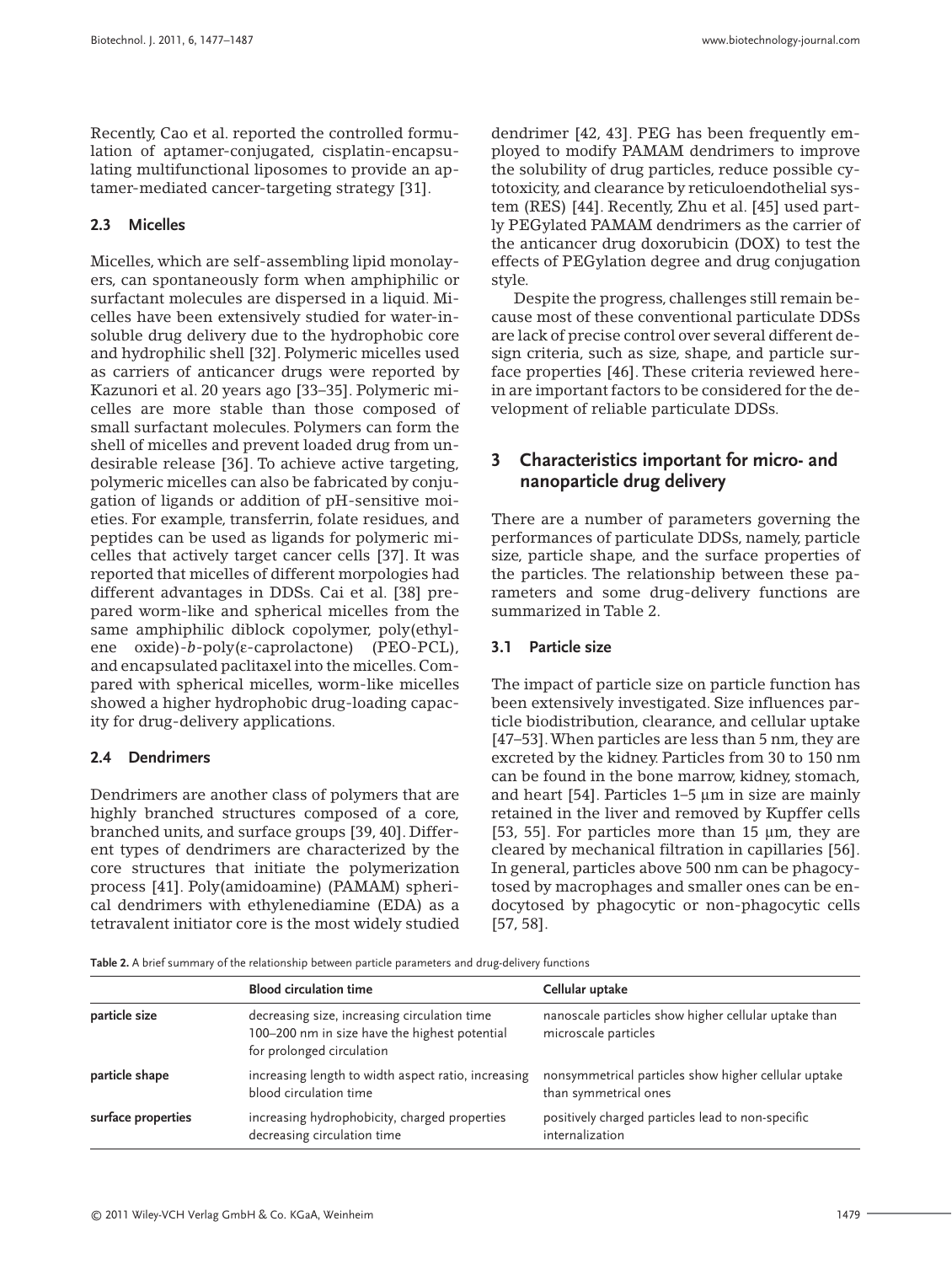Recently, Cao et al. reported the controlled formulation of aptamer-conjugated, cisplatin-encapsulating multifunctional liposomes to provide an aptamer-mediated cancer-targeting strategy [31].

## **2.3 Micelles**

Micelles, which are self-assembling lipid monolayers, can spontaneously form when amphiphilic or surfactant molecules are dispersed in a liquid. Micelles have been extensively studied for water-insoluble drug delivery due to the hydrophobic core and hydrophilic shell [32]. Polymeric micelles used as carriers of anticancer drugs were reported by Kazunori et al. 20 years ago [33–35]. Polymeric micelles are more stable than those composed of small surfactant molecules. Polymers can form the shell of micelles and prevent loaded drug from undesirable release [36]. To achieve active targeting, polymeric micelles can also be fabricated by conjugation of ligands or addition of pH-sensitive moieties. For example, transferrin, folate residues, and peptides can be used as ligands for polymeric micelles that actively target cancer cells [37]. It was reported that micelles of different morpologies had different advantages in DDSs. Cai et al. [38] prepared worm-like and spherical micelles from the same amphiphilic diblock copolymer, poly(ethylene oxide)-*b*-poly(ε-caprolactone) (PEO-PCL), and encapsulated paclitaxel into the micelles. Compared with spherical micelles, worm-like micelles showed a higher hydrophobic drug-loading capacity for drug-delivery applications.

#### **2.4 Dendrimers**

Dendrimers are another class of polymers that are highly branched structures composed of a core, branched units, and surface groups [39, 40]. Different types of dendrimers are characterized by the core structures that initiate the polymerization process [41]. Poly(amidoamine) (PAMAM) spherical dendrimers with ethylenediamine (EDA) as a tetravalent initiator core is the most widely studied

dendrimer [42, 43]. PEG has been frequently employed to modify PAMAM dendrimers to improve the solubility of drug particles, reduce possible cytotoxicity, and clearance by reticuloendothelial system (RES) [44]. Recently, Zhu et al. [45] used partly PEGylated PAMAM dendrimers as the carrier of the anticancer drug doxorubicin (DOX) to test the effects of PEGylation degree and drug conjugation style.

Despite the progress, challenges still remain because most of these conventional particulate DDSs are lack of precise control over several different design criteria, such as size, shape, and particle surface properties [46]. These criteria reviewed herein are important factors to be considered for the development of reliable particulate DDSs.

# **3 Characteristics important for micro- and nanoparticle drug delivery**

There are a number of parameters governing the performances of particulate DDSs, namely, particle size, particle shape, and the surface properties of the particles. The relationship between these parameters and some drug-delivery functions are summarized in Table 2.

#### **3.1 Particle size**

The impact of particle size on particle function has been extensively investigated. Size influences particle biodistribution, clearance, and cellular uptake [47–53].When particles are less than 5 nm, they are excreted by the kidney. Particles from 30 to 150 nm can be found in the bone marrow, kidney, stomach, and heart [54]. Particles 1–5 μm in size are mainly retained in the liver and removed by Kupffer cells [53, 55]. For particles more than 15 μm, they are cleared by mechanical filtration in capillaries [56]. In general, particles above 500 nm can be phagocytosed by macrophages and smaller ones can be endocytosed by phagocytic or non-phagocytic cells [57, 58].

**Table 2.** A brief summary of the relationship between particle parameters and drug-delivery functions

|                    | <b>Blood circulation time</b>                                                                                              | Cellular uptake                                                               |  |
|--------------------|----------------------------------------------------------------------------------------------------------------------------|-------------------------------------------------------------------------------|--|
| particle size      | decreasing size, increasing circulation time<br>100-200 nm in size have the highest potential<br>for prolonged circulation | nanoscale particles show higher cellular uptake than<br>microscale particles  |  |
| particle shape     | increasing length to width aspect ratio, increasing<br>blood circulation time                                              | nonsymmetrical particles show higher cellular uptake<br>than symmetrical ones |  |
| surface properties | increasing hydrophobicity, charged properties<br>decreasing circulation time                                               | positively charged particles lead to non-specific<br>internalization          |  |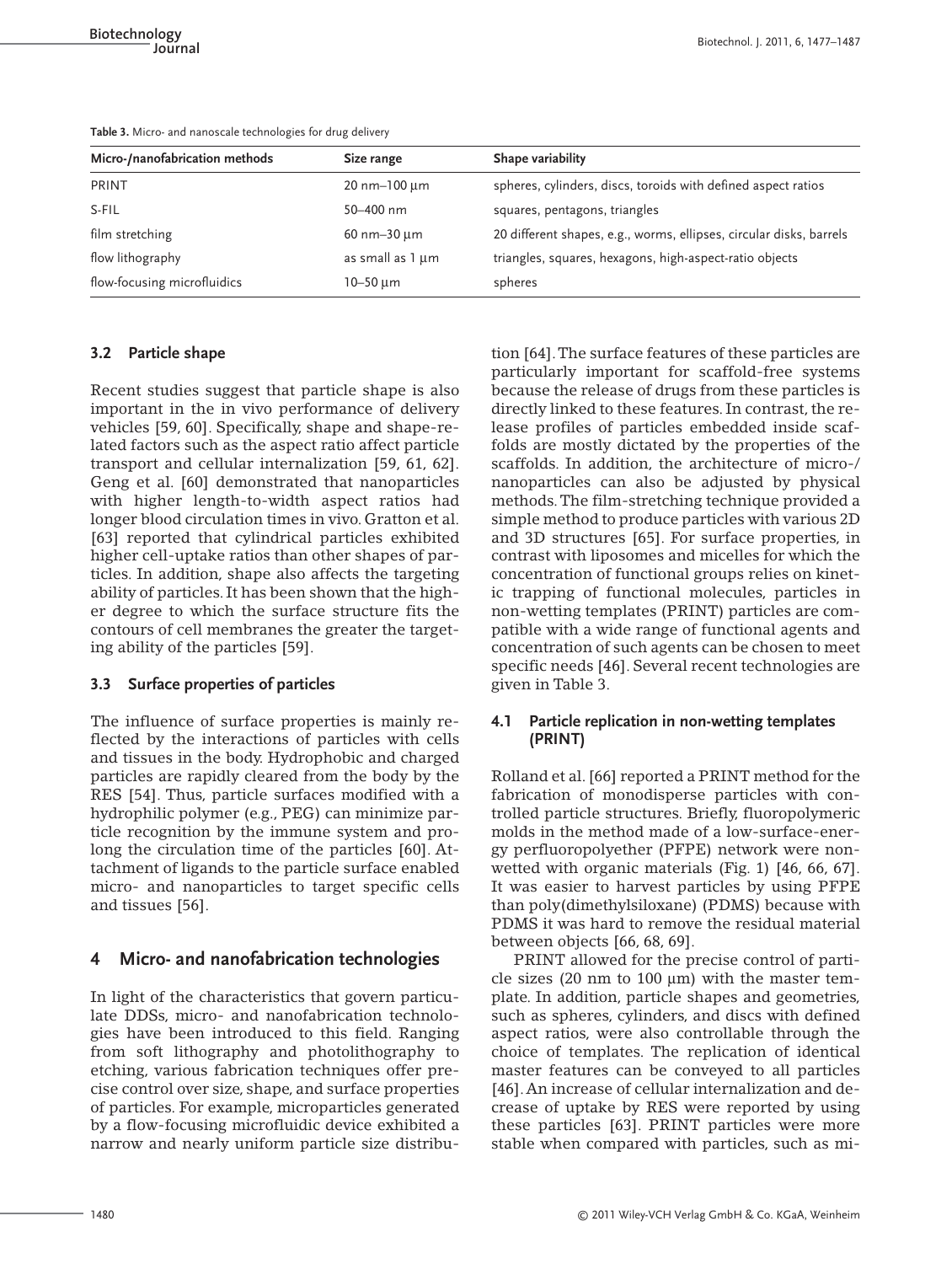| Table 3. Micro- and nanoscale technologies for drug delivery |            |                   |  |  |
|--------------------------------------------------------------|------------|-------------------|--|--|
| Micro-/nanofabrication methods                               | Size range | Shape variability |  |  |

| Micro-/nanofabrication methods | Size range                       | Shape variability                                                   |
|--------------------------------|----------------------------------|---------------------------------------------------------------------|
| <b>PRINT</b>                   | $20 \text{ nm} - 100 \text{ µm}$ | spheres, cylinders, discs, toroids with defined aspect ratios       |
| S-FIL                          | 50-400 nm                        | squares, pentagons, triangles                                       |
| film stretching                | $60$ nm $-30$ $\mu$ m            | 20 different shapes, e.g., worms, ellipses, circular disks, barrels |
| flow lithography               | as small as 1 µm                 | triangles, squares, hexagons, high-aspect-ratio objects             |
| flow-focusing microfluidics    | $10 - 50 \mu m$                  | spheres                                                             |

## **3.2 Particle shape**

Recent studies suggest that particle shape is also important in the in vivo performance of delivery vehicles [59, 60]. Specifically, shape and shape-related factors such as the aspect ratio affect particle transport and cellular internalization [59, 61, 62]. Geng et al. [60] demonstrated that nanoparticles with higher length-to-width aspect ratios had longer blood circulation times in vivo. Gratton et al. [63] reported that cylindrical particles exhibited higher cell-uptake ratios than other shapes of particles. In addition, shape also affects the targeting ability of particles. It has been shown that the higher degree to which the surface structure fits the contours of cell membranes the greater the targeting ability of the particles [59].

## **3.3 Surface properties of particles**

The influence of surface properties is mainly reflected by the interactions of particles with cells and tissues in the body. Hydrophobic and charged particles are rapidly cleared from the body by the RES [54]. Thus, particle surfaces modified with a hydrophilic polymer (e.g., PEG) can minimize particle recognition by the immune system and prolong the circulation time of the particles [60]. Attachment of ligands to the particle surface enabled micro- and nanoparticles to target specific cells and tissues [56].

# **4 Micro- and nanofabrication technologies**

In light of the characteristics that govern particulate DDSs, micro- and nanofabrication technologies have been introduced to this field. Ranging from soft lithography and photolithography to etching, various fabrication techniques offer precise control over size, shape, and surface properties of particles. For example, microparticles generated by a flow-focusing microfluidic device exhibited a narrow and nearly uniform particle size distribution [64].The surface features of these particles are particularly important for scaffold-free systems because the release of drugs from these particles is directly linked to these features. In contrast, the release profiles of particles embedded inside scaffolds are mostly dictated by the properties of the scaffolds. In addition, the architecture of micro-/ nanoparticles can also be adjusted by physical methods.The film-stretching technique provided a simple method to produce particles with various 2D and 3D structures [65]. For surface properties, in contrast with liposomes and micelles for which the concentration of functional groups relies on kinetic trapping of functional molecules, particles in non-wetting templates (PRINT) particles are compatible with a wide range of functional agents and concentration of such agents can be chosen to meet specific needs [46]. Several recent technologies are given in Table 3.

## **4.1 Particle replication in non-wetting templates (PRINT)**

Rolland et al. [66] reported a PRINT method for the fabrication of monodisperse particles with controlled particle structures. Briefly, fluoropolymeric molds in the method made of a low-surface-energy perfluoropolyether (PFPE) network were nonwetted with organic materials (Fig. 1) [46, 66, 67]. It was easier to harvest particles by using PFPE than poly(dimethylsiloxane) (PDMS) because with PDMS it was hard to remove the residual material between objects [66, 68, 69].

PRINT allowed for the precise control of particle sizes (20 nm to 100 μm) with the master template. In addition, particle shapes and geometries, such as spheres, cylinders, and discs with defined aspect ratios, were also controllable through the choice of templates. The replication of identical master features can be conveyed to all particles [46].An increase of cellular internalization and decrease of uptake by RES were reported by using these particles [63]. PRINT particles were more stable when compared with particles, such as mi-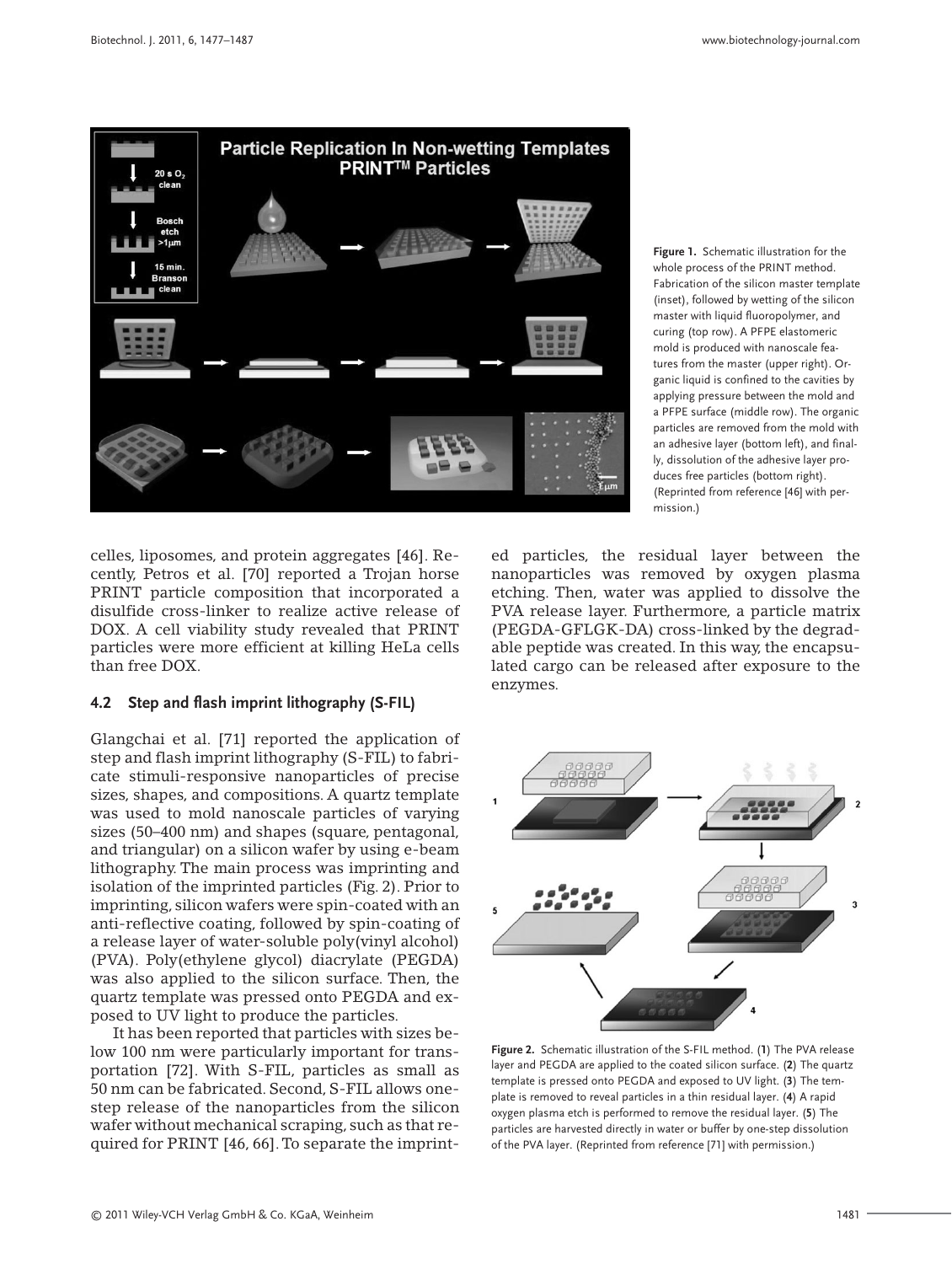

**Figure 1.** Schematic illustration for the whole process of the PRINT method. Fabrication of the silicon master template (inset), followed by wetting of the silicon master with liquid fluoropolymer, and curing (top row). A PFPE elastomeric mold is produced with nanoscale features from the master (upper right). Organic liquid is confined to the cavities by applying pressure between the mold and a PFPE surface (middle row). The organic particles are removed from the mold with an adhesive layer (bottom left), and finally, dissolution of the adhesive layer produces free particles (bottom right). (Reprinted from reference [46] with permission.)

celles, liposomes, and protein aggregates [46]. Recently, Petros et al. [70] reported a Trojan horse PRINT particle composition that incorporated a disulfide cross-linker to realize active release of DOX. A cell viability study revealed that PRINT particles were more efficient at killing HeLa cells than free DOX.

#### **4.2 Step and flash imprint lithography (S-FIL)**

Glangchai et al. [71] reported the application of step and flash imprint lithography (S-FIL) to fabricate stimuli-responsive nanoparticles of precise sizes, shapes, and compositions. A quartz template was used to mold nanoscale particles of varying sizes (50–400 nm) and shapes (square, pentagonal, and triangular) on a silicon wafer by using e-beam lithography. The main process was imprinting and isolation of the imprinted particles (Fig. 2). Prior to imprinting, silicon wafers were spin-coated with an anti-reflective coating, followed by spin-coating of a release layer of water-soluble poly(vinyl alcohol) (PVA). Poly(ethylene glycol) diacrylate (PEGDA) was also applied to the silicon surface. Then, the quartz template was pressed onto PEGDA and exposed to UV light to produce the particles.

It has been reported that particles with sizes below 100 nm were particularly important for transportation [72]. With S-FIL, particles as small as 50 nm can be fabricated. Second, S-FIL allows onestep release of the nanoparticles from the silicon wafer without mechanical scraping, such as that required for PRINT [46, 66].To separate the imprinted particles, the residual layer between the nanoparticles was removed by oxygen plasma etching. Then, water was applied to dissolve the PVA release layer. Furthermore, a particle matrix (PEGDA-GFLGK-DA) cross-linked by the degradable peptide was created. In this way, the encapsulated cargo can be released after exposure to the enzymes.



**Figure 2.** Schematic illustration of the S-FIL method. (**1**) The PVA release layer and PEGDA are applied to the coated silicon surface. (**2**) The quartz template is pressed onto PEGDA and exposed to UV light. (**3**) The template is removed to reveal particles in a thin residual layer. (**4**) A rapid oxygen plasma etch is performed to remove the residual layer. (**5**) The particles are harvested directly in water or buffer by one-step dissolution of the PVA layer. (Reprinted from reference [71] with permission.)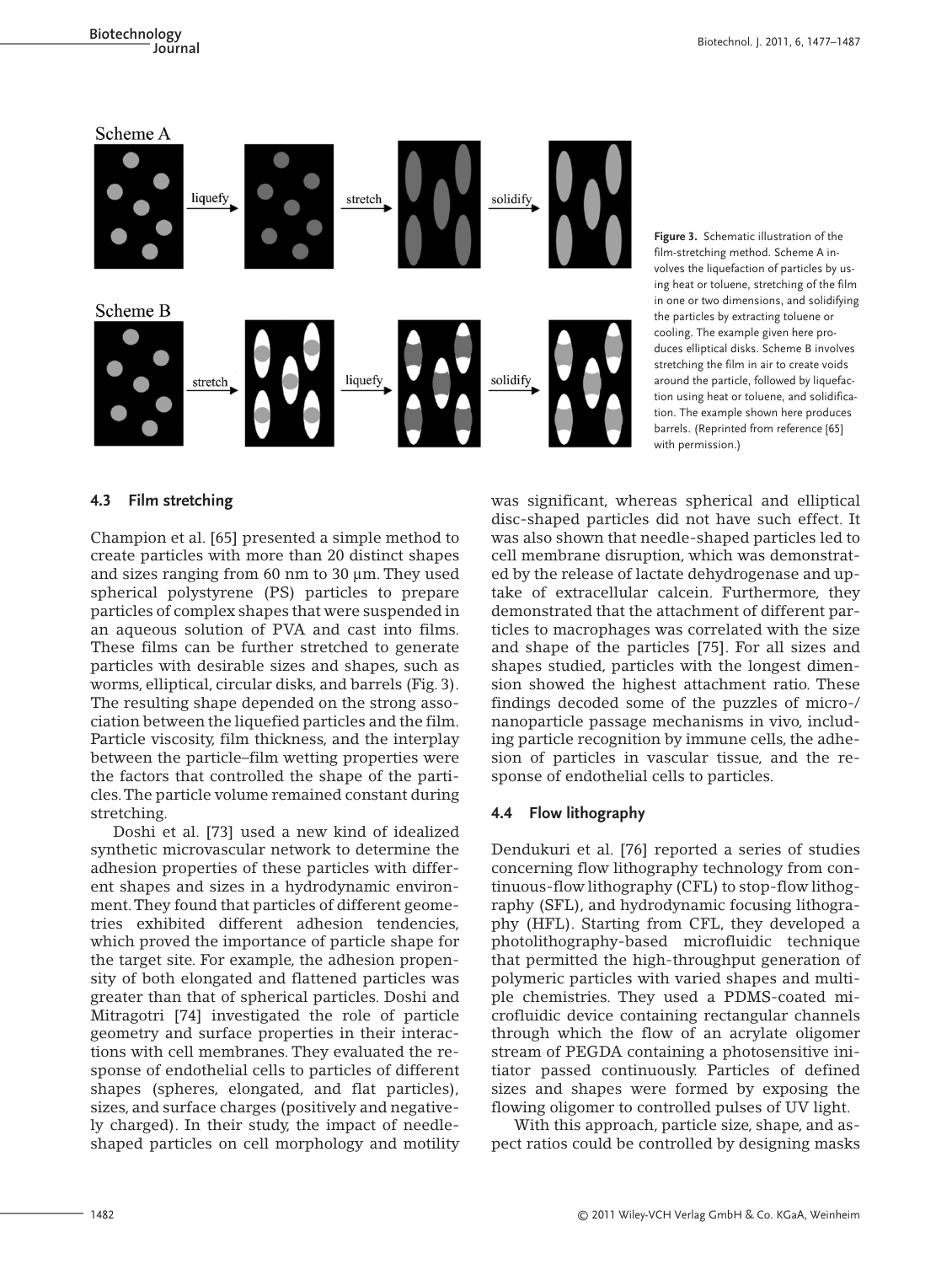

**Figure 3.** Schematic illustration of the film-stretching method. Scheme A involves the liquefaction of particles by using heat or toluene, stretching of the film in one or two dimensions, and solidifying the particles by extracting toluene or cooling. The example given here produces elliptical disks. Scheme B involves stretching the film in air to create voids around the particle, followed by liquefaction using heat or toluene, and solidification. The example shown here produces barrels. (Reprinted from reference [65] with permission.)

#### **4.3 Film stretching**

Champion et al. [65] presented a simple method to create particles with more than 20 distinct shapes and sizes ranging from 60 nm to 30 μm. They used spherical polystyrene (PS) particles to prepare particles of complex shapes that were suspended in an aqueous solution of PVA and cast into films. These films can be further stretched to generate particles with desirable sizes and shapes, such as worms, elliptical, circular disks, and barrels (Fig. 3). The resulting shape depended on the strong association between the liquefied particles and the film. Particle viscosity, film thickness, and the interplay between the particle–film wetting properties were the factors that controlled the shape of the particles.The particle volume remained constant during stretching.

Doshi et al. [73] used a new kind of idealized synthetic microvascular network to determine the adhesion properties of these particles with different shapes and sizes in a hydrodynamic environment.They found that particles of different geometries exhibited different adhesion tendencies, which proved the importance of particle shape for the target site. For example, the adhesion propensity of both elongated and flattened particles was greater than that of spherical particles. Doshi and Mitragotri [74] investigated the role of particle geometry and surface properties in their interactions with cell membranes. They evaluated the response of endothelial cells to particles of different shapes (spheres, elongated, and flat particles), sizes, and surface charges (positively and negatively charged). In their study, the impact of needleshaped particles on cell morphology and motility was significant, whereas spherical and elliptical disc-shaped particles did not have such effect. It was also shown that needle-shaped particles led to cell membrane disruption, which was demonstrated by the release of lactate dehydrogenase and uptake of extracellular calcein. Furthermore, they demonstrated that the attachment of different particles to macrophages was correlated with the size and shape of the particles [75]. For all sizes and shapes studied, particles with the longest dimension showed the highest attachment ratio. These findings decoded some of the puzzles of micro-/ nanoparticle passage mechanisms in vivo, including particle recognition by immune cells, the adhesion of particles in vascular tissue, and the response of endothelial cells to particles.

#### **4.4 Flow lithography**

Dendukuri et al. [76] reported a series of studies concerning flow lithography technology from continuous-flow lithography (CFL) to stop-flow lithography (SFL), and hydrodynamic focusing lithography (HFL). Starting from CFL, they developed a photolithography-based microfluidic technique that permitted the high-throughput generation of polymeric particles with varied shapes and multiple chemistries. They used a PDMS-coated microfluidic device containing rectangular channels through which the flow of an acrylate oligomer stream of PEGDA containing a photosensitive initiator passed continuously. Particles of defined sizes and shapes were formed by exposing the flowing oligomer to controlled pulses of UV light.

With this approach, particle size, shape, and aspect ratios could be controlled by designing masks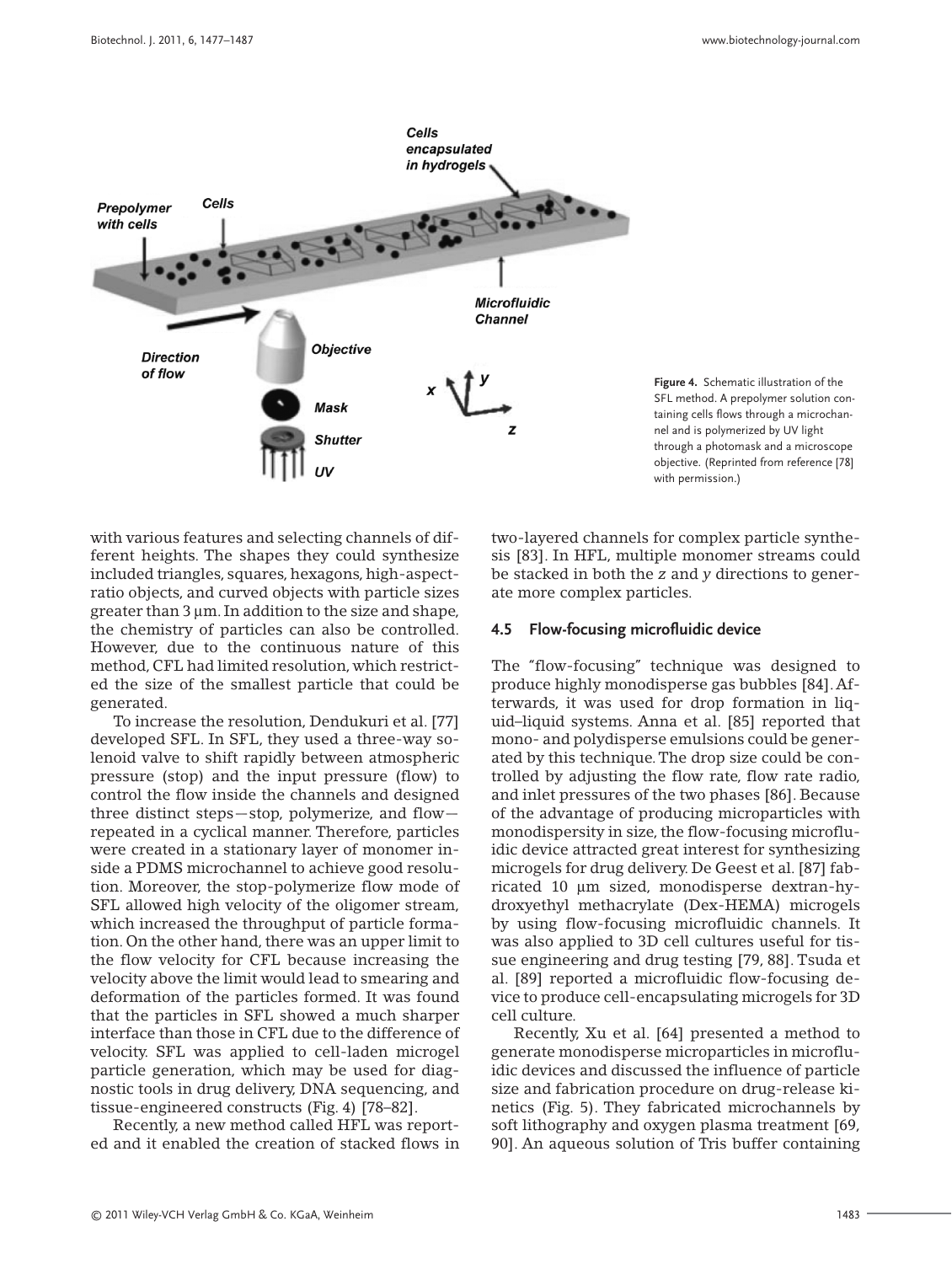

**Figure 4.** Schematic illustration of the SFL method. A prepolymer solution containing cells flows through a microchannel and is polymerized by UV light through a photomask and a microscope objective. (Reprinted from reference [78] with permission.)

with various features and selecting channels of different heights. The shapes they could synthesize included triangles, squares, hexagons, high-aspectratio objects, and curved objects with particle sizes greater than 3 μm. In addition to the size and shape, the chemistry of particles can also be controlled. However, due to the continuous nature of this method, CFL had limited resolution, which restricted the size of the smallest particle that could be generated.

To increase the resolution, Dendukuri et al. [77] developed SFL. In SFL, they used a three-way solenoid valve to shift rapidly between atmospheric pressure (stop) and the input pressure (flow) to control the flow inside the channels and designed three distinct steps—stop, polymerize, and flow repeated in a cyclical manner. Therefore, particles were created in a stationary layer of monomer inside a PDMS microchannel to achieve good resolution. Moreover, the stop-polymerize flow mode of SFL allowed high velocity of the oligomer stream, which increased the throughput of particle formation. On the other hand, there was an upper limit to the flow velocity for CFL because increasing the velocity above the limit would lead to smearing and deformation of the particles formed. It was found that the particles in SFL showed a much sharper interface than those in CFL due to the difference of velocity. SFL was applied to cell-laden microgel particle generation, which may be used for diagnostic tools in drug delivery, DNA sequencing, and tissue-engineered constructs (Fig. 4) [78–82].

Recently, a new method called HFL was reported and it enabled the creation of stacked flows in two-layered channels for complex particle synthesis [83]. In HFL, multiple monomer streams could be stacked in both the *z* and *y* directions to generate more complex particles.

#### **4.5 Flow-focusing microfluidic device**

The "flow-focusing" technique was designed to produce highly monodisperse gas bubbles [84].Afterwards, it was used for drop formation in liquid–liquid systems. Anna et al. [85] reported that mono- and polydisperse emulsions could be generated by this technique.The drop size could be controlled by adjusting the flow rate, flow rate radio, and inlet pressures of the two phases [86]. Because of the advantage of producing microparticles with monodispersity in size, the flow-focusing microfluidic device attracted great interest for synthesizing microgels for drug delivery. De Geest et al. [87] fabricated 10 μm sized, monodisperse dextran-hydroxyethyl methacrylate (Dex-HEMA) microgels by using flow-focusing microfluidic channels. It was also applied to 3D cell cultures useful for tissue engineering and drug testing [79, 88]. Tsuda et al. [89] reported a microfluidic flow-focusing device to produce cell-encapsulating microgels for 3D cell culture.

Recently, Xu et al. [64] presented a method to generate monodisperse microparticles in microfluidic devices and discussed the influence of particle size and fabrication procedure on drug-release kinetics (Fig. 5). They fabricated microchannels by soft lithography and oxygen plasma treatment [69, 90]. An aqueous solution of Tris buffer containing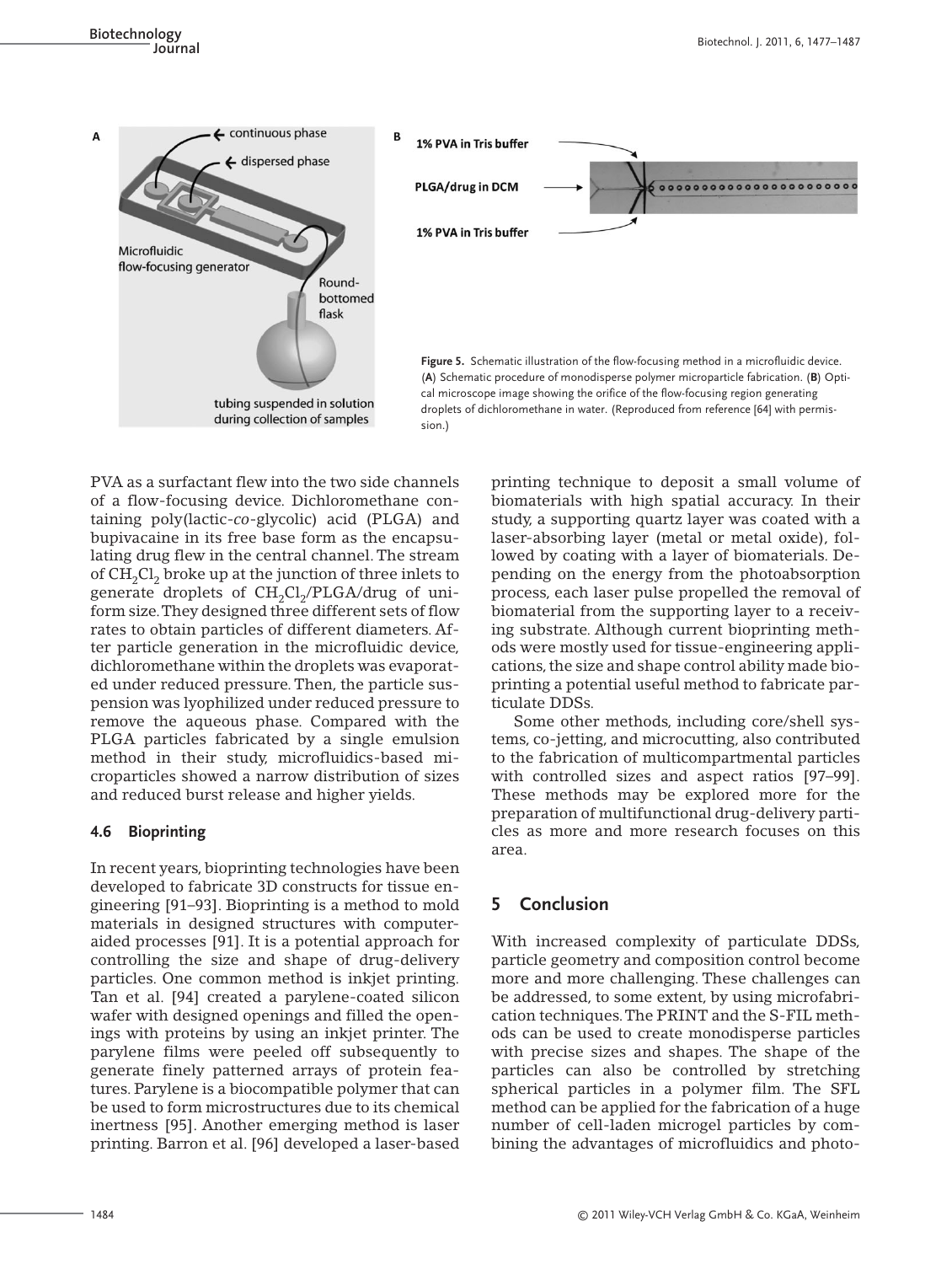**Biotechnology Journal** Biotechnol. J. 2011, 6, 1477–1487



PVA as a surfactant flew into the two side channels of a flow-focusing device. Dichloromethane containing poly(lactic-*co*-glycolic) acid (PLGA) and bupivacaine in its free base form as the encapsulating drug flew in the central channel. The stream of  $CH<sub>2</sub>Cl<sub>2</sub>$  broke up at the junction of three inlets to generate droplets of  $CH<sub>2</sub>Cl<sub>2</sub>/PLGA/drug$  of uniform size.They designed three different sets of flow rates to obtain particles of different diameters. After particle generation in the microfluidic device, dichloromethane within the droplets was evaporated under reduced pressure. Then, the particle suspension was lyophilized under reduced pressure to remove the aqueous phase. Compared with the PLGA particles fabricated by a single emulsion method in their study, microfluidics-based microparticles showed a narrow distribution of sizes and reduced burst release and higher yields.

## **4.6 Bioprinting**

In recent years, bioprinting technologies have been developed to fabricate 3D constructs for tissue engineering [91–93]. Bioprinting is a method to mold materials in designed structures with computeraided processes [91]. It is a potential approach for controlling the size and shape of drug-delivery particles. One common method is inkjet printing. Tan et al. [94] created a parylene-coated silicon wafer with designed openings and filled the openings with proteins by using an inkjet printer. The parylene films were peeled off subsequently to generate finely patterned arrays of protein features. Parylene is a biocompatible polymer that can be used to form microstructures due to its chemical inertness [95]. Another emerging method is laser printing. Barron et al. [96] developed a laser-based

printing technique to deposit a small volume of biomaterials with high spatial accuracy. In their study, a supporting quartz layer was coated with a laser-absorbing layer (metal or metal oxide), followed by coating with a layer of biomaterials. Depending on the energy from the photoabsorption process, each laser pulse propelled the removal of biomaterial from the supporting layer to a receiving substrate. Although current bioprinting methods were mostly used for tissue-engineering applications, the size and shape control ability made bioprinting a potential useful method to fabricate particulate DDSs.

Some other methods, including core/shell systems, co-jetting, and microcutting, also contributed to the fabrication of multicompartmental particles with controlled sizes and aspect ratios [97–99]. These methods may be explored more for the preparation of multifunctional drug-delivery particles as more and more research focuses on this area.

# **5 Conclusion**

With increased complexity of particulate DDSs, particle geometry and composition control become more and more challenging. These challenges can be addressed, to some extent, by using microfabrication techniques.The PRINT and the S-FIL methods can be used to create monodisperse particles with precise sizes and shapes. The shape of the particles can also be controlled by stretching spherical particles in a polymer film. The SFL method can be applied for the fabrication of a huge number of cell-laden microgel particles by combining the advantages of microfluidics and photo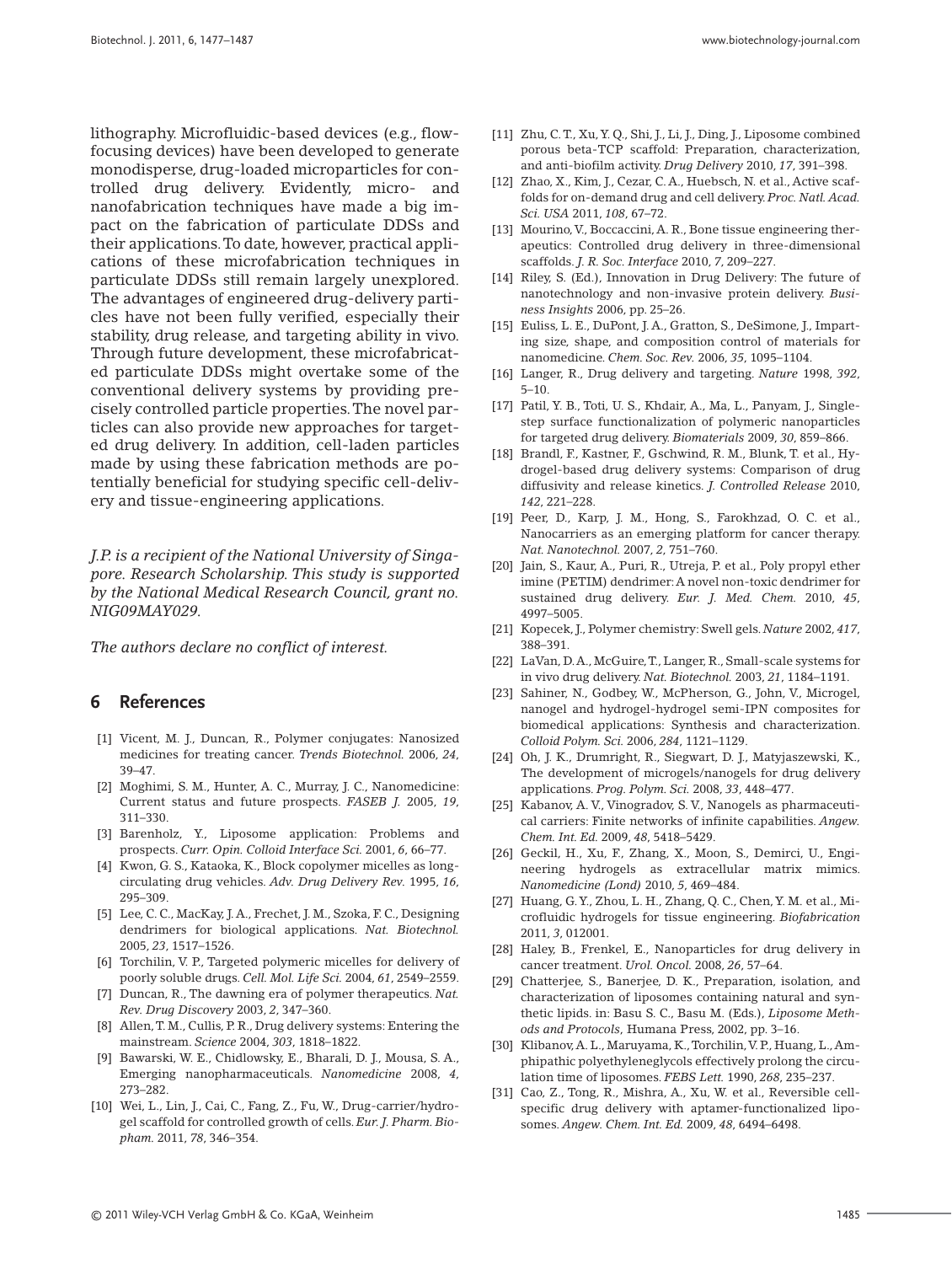lithography. Microfluidic-based devices (e.g., flowfocusing devices) have been developed to generate monodisperse, drug-loaded microparticles for controlled drug delivery. Evidently, micro- and nanofabrication techniques have made a big impact on the fabrication of particulate DDSs and their applications.To date, however, practical applications of these microfabrication techniques in particulate DDSs still remain largely unexplored. The advantages of engineered drug-delivery particles have not been fully verified, especially their stability, drug release, and targeting ability in vivo. Through future development, these microfabricated particulate DDSs might overtake some of the conventional delivery systems by providing precisely controlled particle properties.The novel particles can also provide new approaches for targeted drug delivery. In addition, cell-laden particles made by using these fabrication methods are potentially beneficial for studying specific cell-delivery and tissue-engineering applications.

*J.P. is a recipient of the National University of Singapore. Research Scholarship. This study is supported by the National Medical Research Council, grant no. NIG09MAY029.*

*The authors declare no conflict of interest.*

#### **6 References**

- [1] Vicent, M. J., Duncan, R., Polymer conjugates: Nanosized medicines for treating cancer. *Trends Biotechnol.* 2006, *24*, 39–47.
- [2] Moghimi, S. M., Hunter, A. C., Murray, J. C., Nanomedicine: Current status and future prospects. *FASEB J.* 2005, *19*, 311–330.
- [3] Barenholz, Y., Liposome application: Problems and prospects. *Curr. Opin. Colloid Interface Sci.* 2001, *6*, 66–77.
- [4] Kwon, G. S., Kataoka, K., Block copolymer micelles as longcirculating drug vehicles. *Adv. Drug Delivery Rev.* 1995, *16*, 295–309.
- [5] Lee, C. C., MacKay, J. A., Frechet, J. M., Szoka, F. C., Designing dendrimers for biological applications. *Nat. Biotechnol.* 2005, *23*, 1517–1526.
- [6] Torchilin, V. P., Targeted polymeric micelles for delivery of poorly soluble drugs. *Cell. Mol. Life Sci.* 2004, *61*, 2549–2559.
- [7] Duncan, R., The dawning era of polymer therapeutics. *Nat. Rev. Drug Discovery* 2003, *2*, 347–360.
- [8] Allen,T. M., Cullis, P. R., Drug delivery systems: Entering the mainstream. *Science* 2004, *303*, 1818–1822.
- [9] Bawarski, W. E., Chidlowsky, E., Bharali, D. J., Mousa, S. A., Emerging nanopharmaceuticals. *Nanomedicine* 2008, *4*, 273–282.
- [10] Wei, L., Lin, J., Cai, C., Fang, Z., Fu, W., Drug-carrier/hydrogel scaffold for controlled growth of cells.*Eur. J. Pharm. Biopham.* 2011, *78*, 346–354.
- [11] Zhu, C.T., Xu,Y. Q., Shi, J., Li, J., Ding, J., Liposome combined porous beta-TCP scaffold: Preparation, characterization, and anti-biofilm activity. *Drug Delivery* 2010, *17*, 391–398.
- [12] Zhao, X., Kim, J., Cezar, C. A., Huebsch, N. et al., Active scaffolds for on-demand drug and cell delivery.*Proc. Natl. Acad. Sci. USA* 2011, *108*, 67–72.
- [13] Mourino, V., Boccaccini, A. R., Bone tissue engineering therapeutics: Controlled drug delivery in three-dimensional scaffolds. *J. R. Soc. Interface* 2010, *7*, 209–227.
- [14] Riley, S. (Ed.), Innovation in Drug Delivery: The future of nanotechnology and non-invasive protein delivery. *Business Insights* 2006, pp. 25–26.
- [15] Euliss, L. E., DuPont, J. A., Gratton, S., DeSimone, J., Imparting size, shape, and composition control of materials for nanomedicine. *Chem. Soc. Rev.* 2006, *35*, 1095–1104.
- [16] Langer, R., Drug delivery and targeting. *Nature* 1998, *392*, 5–10.
- [17] Patil, Y. B., Toti, U. S., Khdair, A., Ma, L., Panyam, J., Singlestep surface functionalization of polymeric nanoparticles for targeted drug delivery. *Biomaterials* 2009, *30*, 859–866.
- [18] Brandl, F., Kastner, F., Gschwind, R. M., Blunk, T. et al., Hydrogel-based drug delivery systems: Comparison of drug diffusivity and release kinetics. *J. Controlled Release* 2010, *142*, 221–228.
- [19] Peer, D., Karp, J. M., Hong, S., Farokhzad, O. C. et al., Nanocarriers as an emerging platform for cancer therapy. *Nat. Nanotechnol.* 2007, *2*, 751–760.
- [20] Jain, S., Kaur, A., Puri, R., Utreja, P. et al., Poly propyl ether imine (PETIM) dendrimer:A novel non-toxic dendrimer for sustained drug delivery. *Eur. J. Med. Chem.* 2010, *45*, 4997–5005.
- [21] Kopecek, J., Polymer chemistry: Swell gels. *Nature* 2002, *417*, 388–391.
- [22] LaVan, D.A., McGuire,T., Langer, R., Small-scale systems for in vivo drug delivery. *Nat. Biotechnol.* 2003, *21*, 1184–1191.
- [23] Sahiner, N., Godbey, W., McPherson, G., John, V., Microgel, nanogel and hydrogel-hydrogel semi-IPN composites for biomedical applications: Synthesis and characterization. *Colloid Polym. Sci.* 2006, *284*, 1121–1129.
- [24] Oh, J. K., Drumright, R., Siegwart, D. J., Matyjaszewski, K., The development of microgels/nanogels for drug delivery applications. *Prog. Polym. Sci.* 2008, *33*, 448–477.
- [25] Kabanov, A. V., Vinogradov, S. V., Nanogels as pharmaceutical carriers: Finite networks of infinite capabilities. *Angew. Chem. Int. Ed.* 2009, *48*, 5418–5429.
- [26] Geckil, H., Xu, F., Zhang, X., Moon, S., Demirci, U., Engineering hydrogels as extracellular matrix mimics. *Nanomedicine (Lond)* 2010, *5*, 469–484.
- [27] Huang, G.Y., Zhou, L. H., Zhang, Q. C., Chen,Y. M. et al., Microfluidic hydrogels for tissue engineering. *Biofabrication* 2011, *3*, 012001.
- [28] Haley, B., Frenkel, E., Nanoparticles for drug delivery in cancer treatment. *Urol. Oncol.* 2008, *26*, 57–64.
- [29] Chatterjee, S., Banerjee, D. K., Preparation, isolation, and characterization of liposomes containing natural and synthetic lipids. in: Basu S. C., Basu M. (Eds.), *Liposome Methods and Protocols*, Humana Press, 2002, pp. 3–16.
- [30] Klibanov, A. L., Maruyama, K., Torchilin, V. P., Huang, L., Amphipathic polyethyleneglycols effectively prolong the circulation time of liposomes. *FEBS Lett.* 1990, *268*, 235–237.
- [31] Cao, Z., Tong, R., Mishra, A., Xu, W. et al., Reversible cellspecific drug delivery with aptamer-functionalized liposomes. *Angew. Chem. Int. Ed.* 2009, *48*, 6494–6498.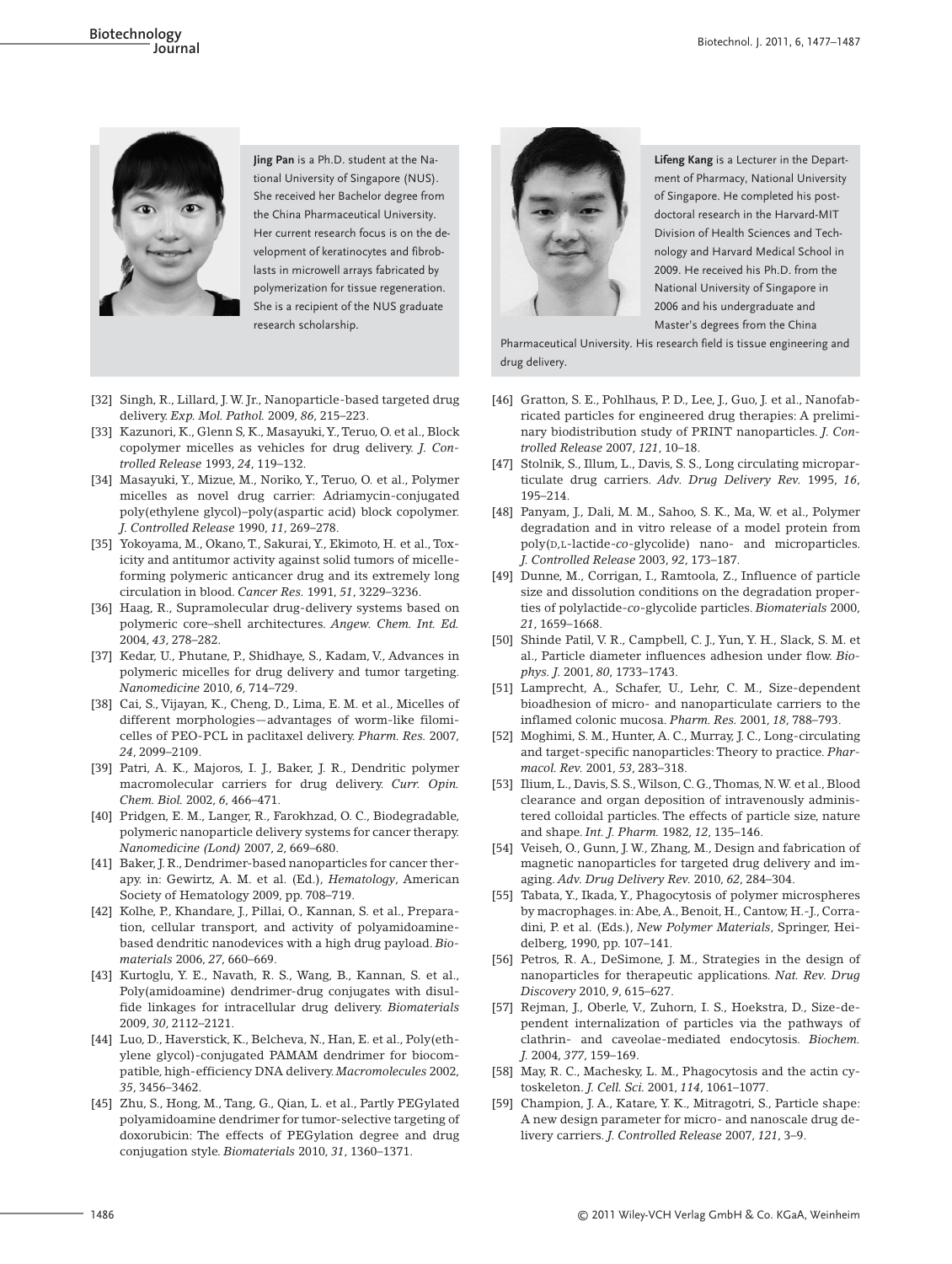

**Jing Pan** is a Ph.D. student at the National University of Singapore (NUS). She received her Bachelor degree from the China Pharmaceutical University. Her current research focus is on the development of keratinocytes and fibroblasts in microwell arrays fabricated by polymerization for tissue regeneration. She is a recipient of the NUS graduate research scholarship.

- [32] Singh, R., Lillard, J. W. Jr., Nanoparticle-based targeted drug delivery. *Exp. Mol. Pathol.* 2009, *86*, 215–223.
- [33] Kazunori, K., Glenn S, K., Masayuki,Y.,Teruo, O. et al., Block copolymer micelles as vehicles for drug delivery. *J. Controlled Release* 1993, *24*, 119–132.
- [34] Masayuki, Y., Mizue, M., Noriko, Y., Teruo, O. et al., Polymer micelles as novel drug carrier: Adriamycin-conjugated poly(ethylene glycol)–poly(aspartic acid) block copolymer. *J. Controlled Release* 1990, *11*, 269–278.
- [35] Yokoyama, M., Okano, T., Sakurai,Y., Ekimoto, H. et al., Toxicity and antitumor activity against solid tumors of micelleforming polymeric anticancer drug and its extremely long circulation in blood. *Cancer Res.* 1991, *51*, 3229–3236.
- [36] Haag, R., Supramolecular drug-delivery systems based on polymeric core–shell architectures. *Angew. Chem. Int. Ed.* 2004, *43*, 278–282.
- [37] Kedar, U., Phutane, P., Shidhaye, S., Kadam, V., Advances in polymeric micelles for drug delivery and tumor targeting. *Nanomedicine* 2010, *6*, 714–729.
- [38] Cai, S., Vijayan, K., Cheng, D., Lima, E. M. et al., Micelles of different morphologies—advantages of worm-like filomicelles of PEO-PCL in paclitaxel delivery. *Pharm. Res.* 2007, *24*, 2099–2109.
- [39] Patri, A. K., Majoros, I. J., Baker, J. R., Dendritic polymer macromolecular carriers for drug delivery. *Curr. Opin. Chem. Biol.* 2002, *6*, 466–471.
- [40] Pridgen, E. M., Langer, R., Farokhzad, O. C., Biodegradable, polymeric nanoparticle delivery systems for cancer therapy. *Nanomedicine (Lond)* 2007, *2*, 669–680.
- [41] Baker, J. R., Dendrimer-based nanoparticles for cancer therapy. in: Gewirtz, A. M. et al. (Ed.), *Hematology*, American Society of Hematology 2009, pp. 708–719.
- [42] Kolhe, P., Khandare, J., Pillai, O., Kannan, S. et al., Preparation, cellular transport, and activity of polyamidoaminebased dendritic nanodevices with a high drug payload. *Biomaterials* 2006, *27*, 660–669.
- [43] Kurtoglu, Y. E., Navath, R. S., Wang, B., Kannan, S. et al., Poly(amidoamine) dendrimer-drug conjugates with disulfide linkages for intracellular drug delivery. *Biomaterials* 2009, *30*, 2112–2121.
- [44] Luo, D., Haverstick, K., Belcheva, N., Han, E. et al., Poly(ethylene glycol)-conjugated PAMAM dendrimer for biocompatible, high-efficiency DNA delivery. *Macromolecules* 2002, *35*, 3456–3462.
- [45] Zhu, S., Hong, M., Tang, G., Qian, L. et al., Partly PEGylated polyamidoamine dendrimer for tumor-selective targeting of doxorubicin: The effects of PEGylation degree and drug conjugation style. *Biomaterials* 2010, *31*, 1360–1371.



**Lifeng Kang** is a Lecturer in the Department of Pharmacy, National University of Singapore. He completed his postdoctoral research in the Harvard-MIT Division of Health Sciences and Technology and Harvard Medical School in 2009. He received his Ph.D. from the National University of Singapore in 2006 and his undergraduate and Master's degrees from the China

Pharmaceutical University. His research field is tissue engineering and drug delivery.

- [46] Gratton, S. E., Pohlhaus, P. D., Lee, J., Guo, J. et al., Nanofabricated particles for engineered drug therapies: A preliminary biodistribution study of PRINT nanoparticles. *J. Controlled Release* 2007, *121*, 10–18.
- [47] Stolnik, S., Illum, L., Davis, S. S., Long circulating microparticulate drug carriers. *Adv. Drug Delivery Rev.* 1995, *16*, 195–214.
- [48] Panyam, J., Dali, M. M., Sahoo, S. K., Ma, W. et al., Polymer degradation and in vitro release of a model protein from poly(D,L-lactide-*co*-glycolide) nano- and microparticles. *J. Controlled Release* 2003, *92*, 173–187.
- [49] Dunne, M., Corrigan, I., Ramtoola, Z., Influence of particle size and dissolution conditions on the degradation properties of polylactide-*co*-glycolide particles. *Biomaterials* 2000, *21*, 1659–1668.
- [50] Shinde Patil, V. R., Campbell, C. J., Yun, Y. H., Slack, S. M. et al., Particle diameter influences adhesion under flow. *Biophys. J.* 2001, *80*, 1733–1743.
- [51] Lamprecht, A., Schafer, U., Lehr, C. M., Size-dependent bioadhesion of micro- and nanoparticulate carriers to the inflamed colonic mucosa. *Pharm. Res.* 2001, *18*, 788–793.
- [52] Moghimi, S. M., Hunter, A. C., Murray, J. C., Long-circulating and target-specific nanoparticles: Theory to practice. *Pharmacol. Rev.* 2001, *53*, 283–318.
- [53] Ilium, L., Davis, S. S.,Wilson, C. G.,Thomas, N.W. et al., Blood clearance and organ deposition of intravenously administered colloidal particles. The effects of particle size, nature and shape. *Int. J. Pharm.* 1982, *12*, 135–146.
- [54] Veiseh, O., Gunn, J. W., Zhang, M., Design and fabrication of magnetic nanoparticles for targeted drug delivery and imaging. *Adv. Drug Delivery Rev.* 2010, *62*, 284–304.
- [55] Tabata, Y., Ikada, Y., Phagocytosis of polymer microspheres by macrophages. in:Abe,A., Benoit, H., Cantow, H.-J., Corradini, P. et al. (Eds.), *New Polymer Materials*, Springer, Heidelberg, 1990, pp. 107–141.
- [56] Petros, R. A., DeSimone, J. M., Strategies in the design of nanoparticles for therapeutic applications. *Nat. Rev. Drug Discovery* 2010, *9*, 615–627.
- [57] Rejman, J., Oberle, V., Zuhorn, I. S., Hoekstra, D., Size-dependent internalization of particles via the pathways of clathrin- and caveolae-mediated endocytosis. *Biochem. J.* 2004, *377*, 159–169.
- [58] May, R. C., Machesky, L. M., Phagocytosis and the actin cytoskeleton. *J. Cell. Sci.* 2001, *114*, 1061–1077.
- [59] Champion, J. A., Katare, Y. K., Mitragotri, S., Particle shape: A new design parameter for micro- and nanoscale drug delivery carriers. *J. Controlled Release* 2007, *121*, 3–9.